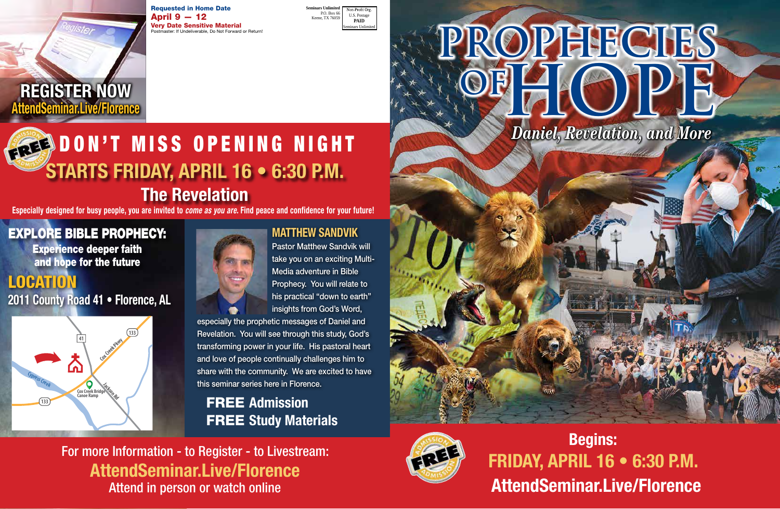Requested in Home Date April 9 — 12 Very Date Sensitive Material Poster: If Undeliverable, Do Not Forward or Return! **Seminars Unlimited** Jon-Profit Org P.O. Box 6 U.S. Postage Keene, TX 76059 **PAID** ore Unlin

> **Begins: FRIDAY, APRIL 16 • 6:30 P.M. AttendSeminar.Live/Florence**





## EXPLORE BIBLE PROPHECY:

Experience deeper faith and hope for the future

### LOCATION **2011 County Road 41 • Florence, AL**

#### **MATTHEW SANDVIK**

## **STARTS FRIDAY, APRIL 16 • 6:30 P.M. The Revelation DON'T MISS OPENING NIGHT**

Pastor Matthew Sandvik will take you on an exciting Multi-Media adventure in Bible Prophecy. You will relate to his practical "down to earth" insights from God's Word,

especially the prophetic messages of Daniel and Revelation. You will see through this study, God's transforming power in your life. His pastoral heart and love of people continually challenges him to share with the community. We are excited to have this seminar series here in Florence.

#### FREE **Admission** FREE **Study Materials**





**Especially designed for busy people, you are invited to** *come as you are.* **Find peace and confidence for your future!**

For more Information - to Register - to Livestream: **AttendSeminar.Live/Florence** Attend in person or watch online

## **REGISTER NOW AttendSeminar.Live/Florence**